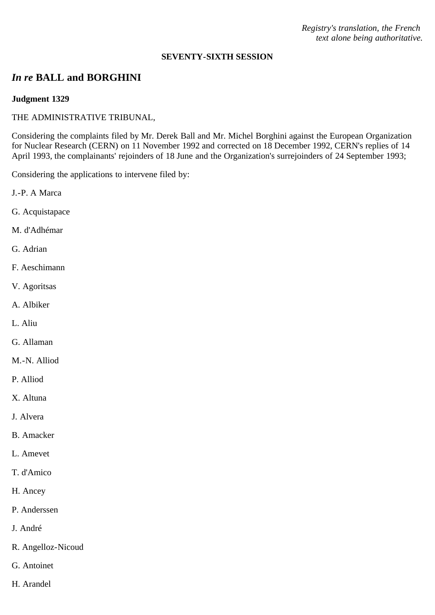*Registry's translation, the French text alone being authoritative.*

#### **SEVENTY-SIXTH SESSION**

# *In re* **BALL and BORGHINI**

## **Judgment 1329**

## THE ADMINISTRATIVE TRIBUNAL,

Considering the complaints filed by Mr. Derek Ball and Mr. Michel Borghini against the European Organization for Nuclear Research (CERN) on 11 November 1992 and corrected on 18 December 1992, CERN's replies of 14 April 1993, the complainants' rejoinders of 18 June and the Organization's surrejoinders of 24 September 1993;

Considering the applications to intervene filed by:

- J.-P. A Marca
- G. Acquistapace
- M. d'Adhémar
- G. Adrian
- F. Aeschimann
- V. Agoritsas
- A. Albiker
- L. Aliu
- G. Allaman
- M.-N. Alliod
- P. Alliod
- X. Altuna
- J. Alvera
- B. Amacker
- L. Amevet
- T. d'Amico
- H. Ancey
- P. Anderssen
- J. André
- R. Angelloz-Nicoud
- G. Antoinet
- H. Arandel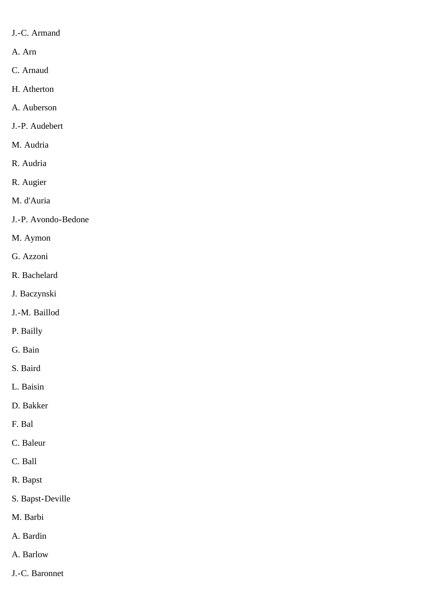- J.-C. Armand
- A. Arn
- C. Arnaud
- H. Atherton
- A. Auberson
- J.-P. Audebert
- M. Audria
- R. Audria
- R. Augier
- M. d'Auria
- J.-P. Avondo-Bedone
- M. Aymon
- G. Azzoni
- R. Bachelard
- J. Baczynski
- J.-M. Baillod
- P. Bailly
- G. Bain
- S. Baird
- L. Baisin
- D. Bakker
- F. Bal
- C. Baleur
- C. Ball
- R. Bapst
- S. Bapst-Deville
- M. Barbi
- A. Bardin
- A. Barlow
- J.-C. Baronnet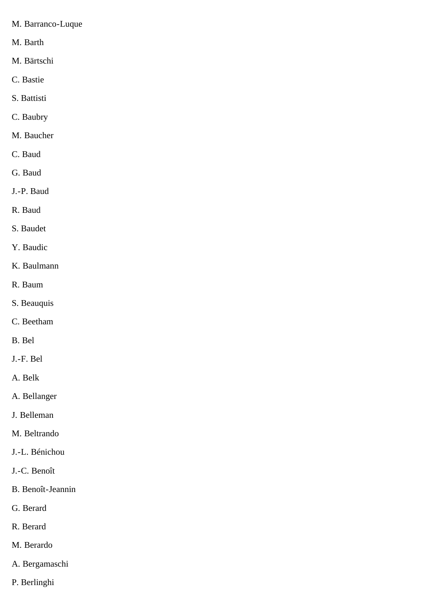- M. Barranco-Luque
- M. Barth
- M. Bärtschi
- C. Bastie
- S. Battisti
- C. Baubry
- M. Baucher
- C. Baud
- G. Baud
- J.-P. Baud
- R. Baud
- S. Baudet
- Y. Baudic
- K. Baulmann
- R. Baum
- S. Beauquis
- C. Beetham
- B. Bel
- J.-F. Bel
- A. Belk
- A. Bellanger
- J. Belleman
- M. Beltrando
- J.-L. Bénichou
- J.-C. Benoît
- B. Benoît-Jeannin
- G. Berard
- R. Berard
- M. Berardo
- A. Bergamaschi
- P. Berlinghi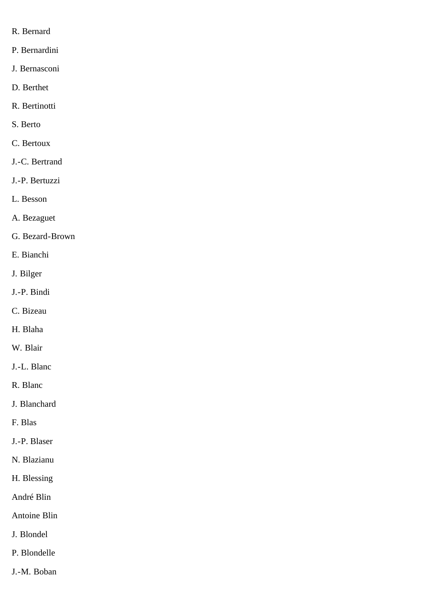- R. Bernard
- P. Bernardini
- J. Bernasconi
- D. Berthet
- R. Bertinotti
- S. Berto
- C. Bertoux
- J.-C. Bertrand
- J.-P. Bertuzzi
- L. Besson
- A. Bezaguet
- G. Bezard-Brown
- E. Bianchi
- J. Bilger
- J.-P. Bindi
- C. Bizeau
- H. Blaha
- W. Blair
- J.-L. Blanc
- R. Blanc
- J. Blanchard
- F. Blas
- J.-P. Blaser
- N. Blazianu
- H. Blessing
- André Blin
- Antoine Blin
- J. Blondel
- P. Blondelle
- J.-M. Boban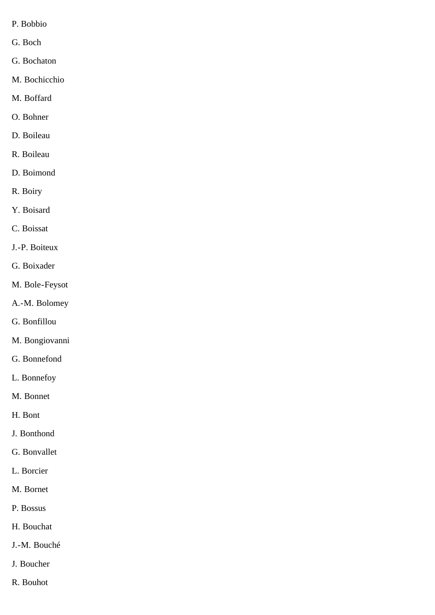- P. Bobbio
- G. Boch
- G. Bochaton
- M. Bochicchio
- M. Boffard
- O. Bohner
- D. Boileau
- R. Boileau
- D. Boimond
- R. Boiry
- Y. Boisard
- C. Boissat
- J.-P. Boiteux
- G. Boixader
- M. Bole-Feysot
- A.-M. Bolomey
- G. Bonfillou
- M. Bongiovanni
- G. Bonnefond
- L. Bonnefoy
- M. Bonnet
- H. Bont
- J. Bonthond
- G. Bonvallet
- L. Borcier
- M. Bornet
- P. Bossus
- H. Bouchat
- J.-M. Bouché
- J. Boucher
- R. Bouhot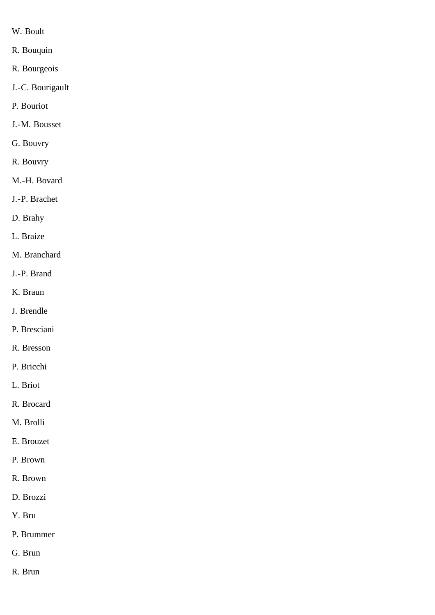- W. Boult
- R. Bouquin
- R. Bourgeois
- J.-C. Bourigault
- P. Bouriot
- J.-M. Bousset
- G. Bouvry
- R. Bouvry
- M.-H. Bovard
- J.-P. Brachet
- D. Brahy
- L. Braize
- M. Branchard
- J.-P. Brand
- K. Braun
- J. Brendle
- P. Bresciani
- R. Bresson
- P. Bricchi
- L. Briot
- R. Brocard
- M. Brolli
- E. Brouzet
- P. Brown
- R. Brown
- D. Brozzi
- Y. Bru
- P. Brummer
- G. Brun
- R. Brun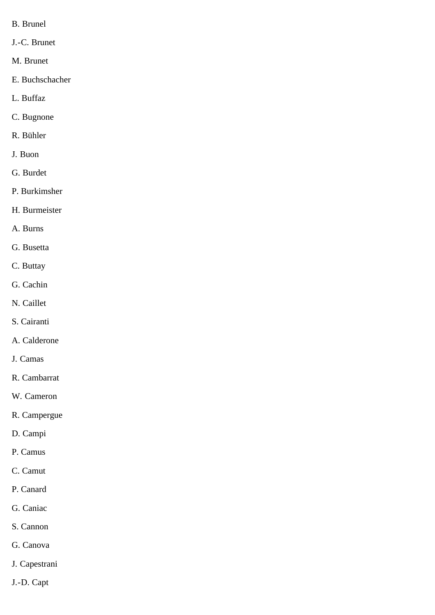- B. Brunel
- J.-C. Brunet
- M. Brunet
- E. Buchschacher
- L. Buffaz
- C. Bugnone
- R. Bühler
- J. Buon
- G. Burdet
- P. Burkimsher
- H. Burmeister
- A. Burns
- G. Busetta
- C. Buttay
- G. Cachin
- N. Caillet
- S. Cairanti
- A. Calderone
- J. Camas
- R. Cambarrat
- W. Cameron
- R. Campergue
- D. Campi
- P. Camus
- C. Camut
- P. Canard
- G. Caniac
- S. Cannon
- G. Canova
- J. Capestrani
- J.-D. Capt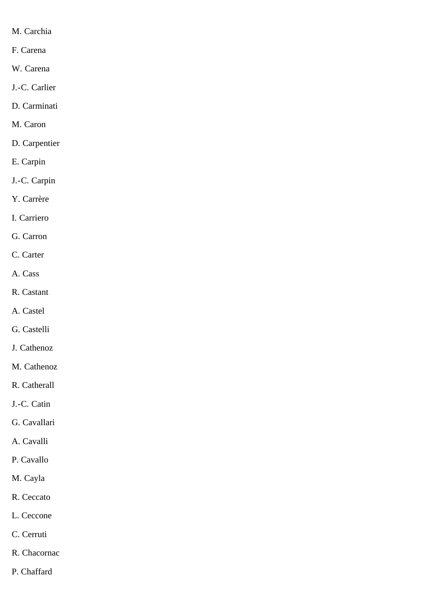- M. Carchia
- F. Carena
- W. Carena
- J.-C. Carlier
- D. Carminati
- M. Caron
- D. Carpentier
- E. Carpin
- J.-C. Carpin
- Y. Carrère
- I. Carriero
- G. Carron
- C. Carter
- A. Cass
- R. Castant
- A. Castel
- G. Castelli
- J. Cathenoz
- M. Cathenoz
- R. Catherall
- J.-C. Catin
- G. Cavallari
- A. Cavalli
- P. Cavallo
- M. Cayla
- R. Ceccato
- L. Ceccone
- C. Cerruti
- R. Chacornac
- P. Chaffard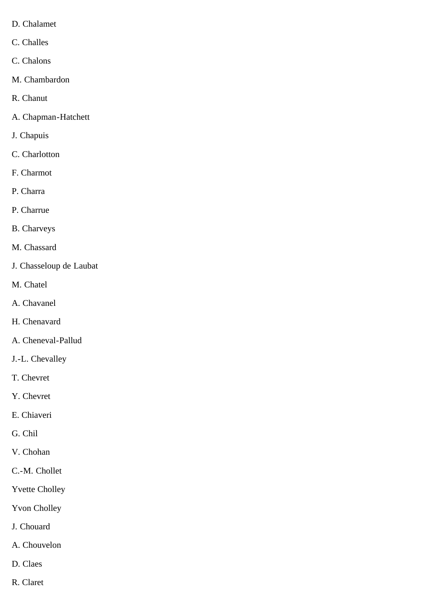- D. Chalamet
- C. Challes
- C. Chalons
- M. Chambardon
- R. Chanut
- A. Chapman-Hatchett
- J. Chapuis
- C. Charlotton
- F. Charmot
- P. Charra
- P. Charrue
- B. Charveys
- M. Chassard
- J. Chasseloup de Laubat
- M. Chatel
- A. Chavanel
- H. Chenavard
- A. Cheneval-Pallud
- J.-L. Chevalley
- T. Chevret
- Y. Chevret
- E. Chiaveri
- G. Chil
- V. Chohan
- C.-M. Chollet
- Yvette Cholley
- Yvon Cholley
- J. Chouard
- A. Chouvelon
- D. Claes
- R. Claret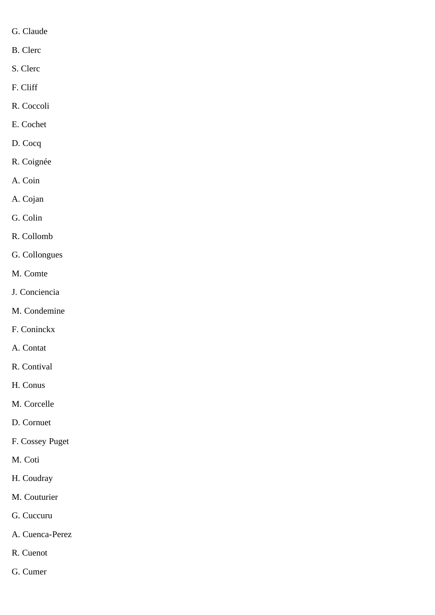- G. Claude
- B. Clerc
- S. Clerc
- F. Cliff
- R. Coccoli
- E. Cochet
- D. Cocq
- R. Coignée
- A. Coin
- A. Cojan
- G. Colin
- R. Collomb
- G. Collongues
- M. Comte
- J. Conciencia
- M. Condemine
- F. Coninckx
- A. Contat
- R. Contival
- H. Conus
- M. Corcelle
- D. Cornuet
- F. Cossey Puget
- M. Coti
- H. Coudray
- M. Couturier
- G. Cuccuru
- A. Cuenca-Perez
- R. Cuenot
- G. Cumer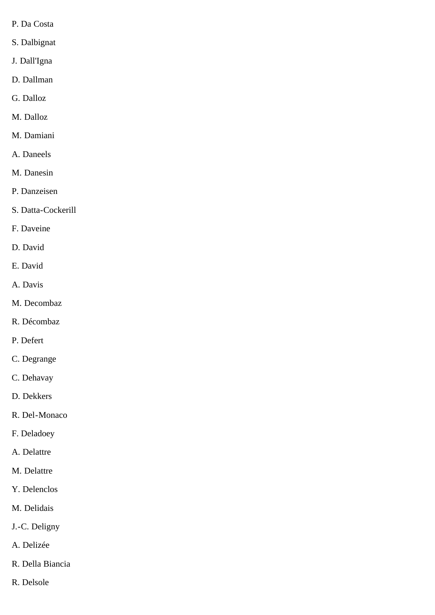- P. Da Costa
- S. Dalbignat
- J. Dall'Igna
- D. Dallman
- G. Dalloz
- M. Dalloz
- M. Damiani
- A. Daneels
- M. Danesin
- P. Danzeisen
- S. Datta-Cockerill
- F. Daveine
- D. David
- E. David
- A. Davis
- M. Decombaz
- R. Décombaz
- P. Defert
- C. Degrange
- C. Dehavay
- D. Dekkers
- R. Del-Monaco
- F. Deladoey
- A. Delattre
- M. Delattre
- Y. Delenclos
- M. Delidais
- J.-C. Deligny
- A. Delizée
- R. Della Biancia
- R. Delsole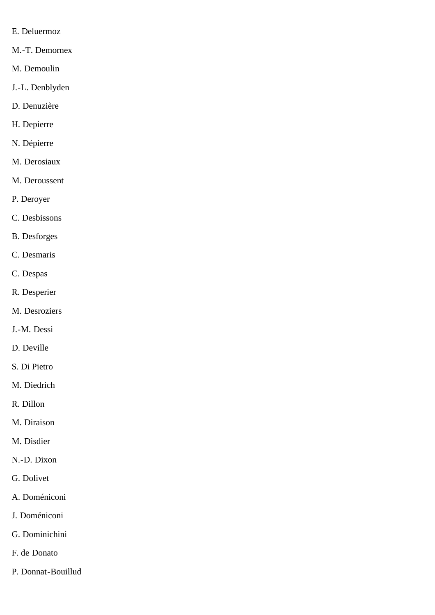- E. Deluermoz
- M.-T. Demornex
- M. Demoulin
- J.-L. Denblyden
- D. Denuzière
- H. Depierre
- N. Dépierre
- M. Derosiaux
- M. Deroussent
- P. Deroyer
- C. Desbissons
- B. Desforges
- C. Desmaris
- C. Despas
- R. Desperier
- M. Desroziers
- J.-M. Dessi
- D. Deville
- S. Di Pietro
- M. Diedrich
- R. Dillon
- M. Diraison
- M. Disdier
- N.-D. Dixon
- G. Dolivet
- A. Doméniconi
- J. Doméniconi
- G. Dominichini
- F. de Donato
- P. Donnat-Bouillud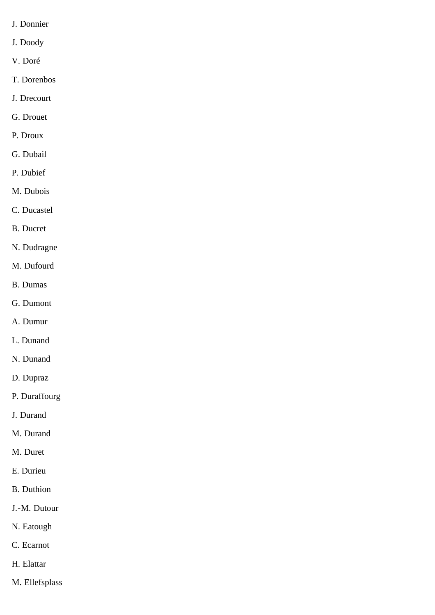- J. Donnier
- J. Doody
- V. Doré
- T. Dorenbos
- J. Drecourt
- G. Drouet
- P. Droux
- G. Dubail
- P. Dubief
- M. Dubois
- C. Ducastel
- B. Ducret
- N. Dudragne
- M. Dufourd
- B. Dumas
- G. Dumont
- A. Dumur
- L. Dunand
- N. Dunand
- D. Dupraz
- P. Duraffourg
- J. Durand
- M. Durand
- M. Duret
- E. Durieu
- B. Duthion
- J.-M. Dutour
- N. Eatough
- C. Ecarnot
- H. Elattar
- M. Ellefsplass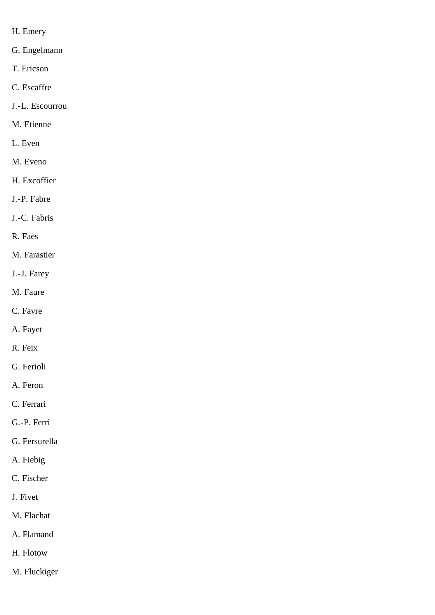- H. Emery
- G. Engelmann
- T. Ericson
- C. Escaffre
- J.-L. Escourrou
- M. Etienne
- L. Even
- M. Eveno
- H. Excoffier
- J.-P. Fabre
- J.-C. Fabris
- R. Faes
- M. Farastier
- J.-J. Farey
- M. Faure
- C. Favre
- A. Fayet
- R. Feix
- G. Ferioli
- A. Feron
- C. Ferrari
- G.-P. Ferri
- G. Fersurella
- A. Fiebig
- C. Fischer
- J. Fivet
- M. Flachat
- A. Flamand
- H. Flotow
- M. Fluckiger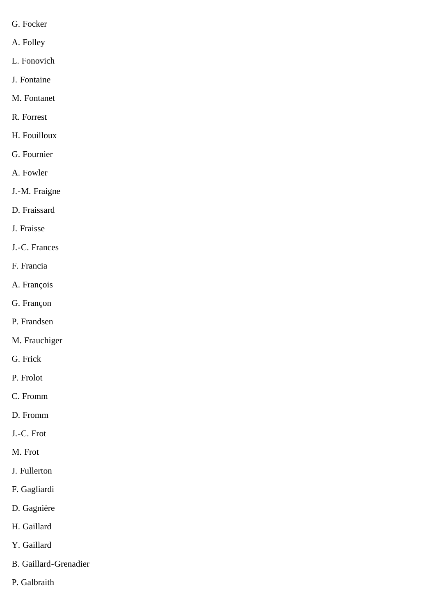- G. Focker
- A. Folley
- L. Fonovich
- J. Fontaine
- M. Fontanet
- R. Forrest
- H. Fouilloux
- G. Fournier
- A. Fowler
- J.-M. Fraigne
- D. Fraissard
- J. Fraisse
- J.-C. Frances
- F. Francia
- A. François
- G. Françon
- P. Frandsen
- M. Frauchiger
- G. Frick
- P. Frolot
- C. Fromm
- D. Fromm
- J.-C. Frot
- M. Frot
- J. Fullerton
- F. Gagliardi
- D. Gagnière
- H. Gaillard
- Y. Gaillard
- B. Gaillard-Grenadier
- P. Galbraith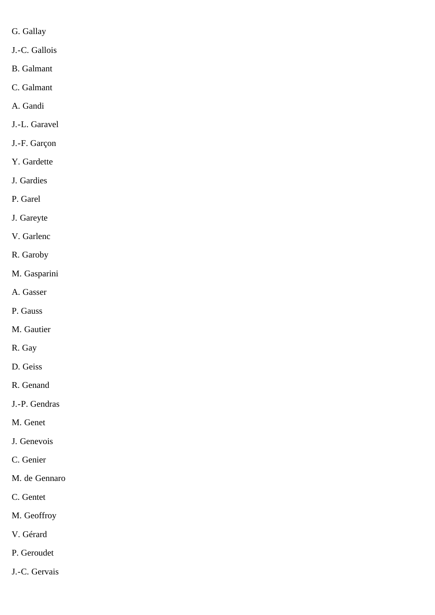- G. Gallay
- J.-C. Gallois
- B. Galmant
- C. Galmant
- A. Gandi
- J.-L. Garavel
- J.-F. Garçon
- Y. Gardette
- J. Gardies
- P. Garel
- J. Gareyte
- V. Garlenc
- R. Garoby
- M. Gasparini
- A. Gasser
- P. Gauss
- M. Gautier
- R. Gay
- D. Geiss
- R. Genand
- J.-P. Gendras
- M. Genet
- J. Genevois
- C. Genier
- M. de Gennaro
- C. Gentet
- M. Geoffroy
- V. Gérard
- P. Geroudet
- J.-C. Gervais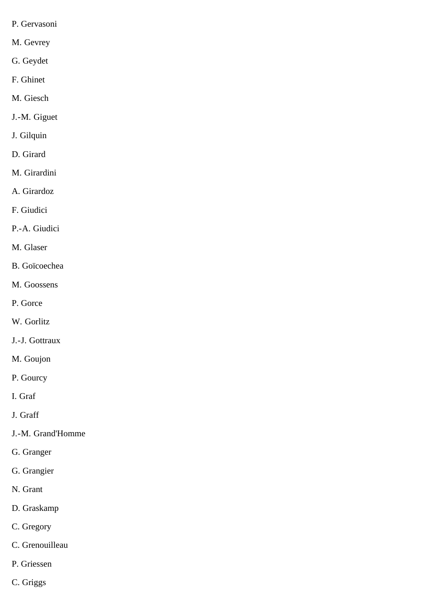- P. Gervasoni
- M. Gevrey
- G. Geydet
- F. Ghinet
- M. Giesch
- J.-M. Giguet
- J. Gilquin
- D. Girard
- M. Girardini
- A. Girardoz
- F. Giudici
- P.-A. Giudici
- M. Glaser
- B. Goïcoechea
- M. Goossens
- P. Gorce
- W. Gorlitz
- J.-J. Gottraux
- M. Goujon
- P. Gourcy
- I. Graf
- J. Graff
- J.-M. Grand'Homme
- G. Granger
- G. Grangier
- N. Grant
- D. Graskamp
- C. Gregory
- C. Grenouilleau
- P. Griessen
- C. Griggs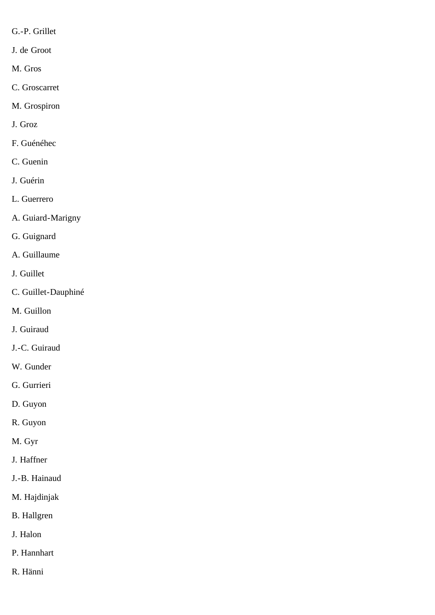- G.-P. Grillet
- J. de Groot
- M. Gros
- C. Groscarret
- M. Grospiron
- J. Groz
- F. Guénéhec
- C. Guenin
- J. Guérin
- L. Guerrero
- A. Guiard-Marigny
- G. Guignard
- A. Guillaume
- J. Guillet
- C. Guillet-Dauphiné
- M. Guillon
- J. Guiraud
- J.-C. Guiraud
- W. Gunder
- G. Gurrieri
- D. Guyon
- R. Guyon
- M. Gyr
- J. Haffner
- J.-B. Hainaud
- M. Hajdinjak
- B. Hallgren
- J. Halon
- P. Hannhart
- R. Hänni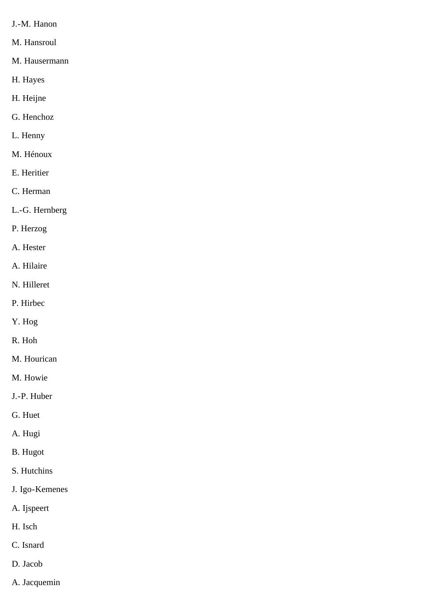- J.-M. Hanon
- M. Hansroul
- M. Hausermann
- H. Hayes
- H. Heijne
- G. Henchoz
- L. Henny
- M. Hénoux
- E. Heritier
- C. Herman
- L.-G. Hernberg
- P. Herzog
- A. Hester
- A. Hilaire
- N. Hilleret
- P. Hirbec
- Y. Hog
- R. Hoh
- M. Hourican
- M. Howie
- J.-P. Huber
- G. Huet
- A. Hugi
- B. Hugot
- S. Hutchins
- J. Igo-Kemenes
- A. Ijspeert
- H. Isch
- C. Isnard
- D. Jacob
- A. Jacquemin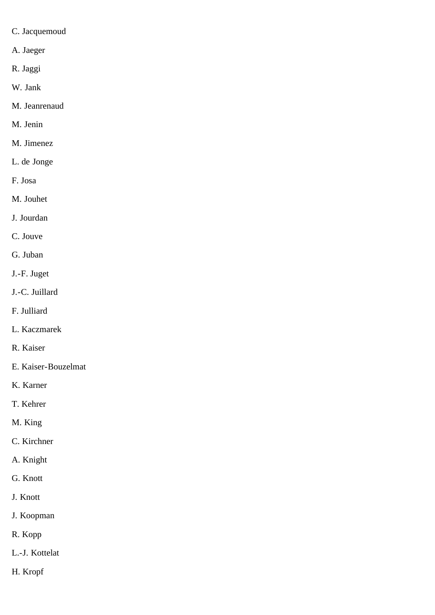- C. Jacquemoud
- A. Jaeger
- R. Jaggi
- W. Jank
- M. Jeanrenaud
- M. Jenin
- M. Jimenez
- L. de Jonge
- F. Josa
- M. Jouhet
- J. Jourdan
- C. Jouve
- G. Juban
- J.-F. Juget
- J.-C. Juillard
- F. Julliard
- L. Kaczmarek
- R. Kaiser
- E. Kaiser-Bouzelmat
- K. Karner
- T. Kehrer
- M. King
- C. Kirchner
- A. Knight
- G. Knott
- J. Knott
- J. Koopman
- R. Kopp
- L.-J. Kottelat
- H. Kropf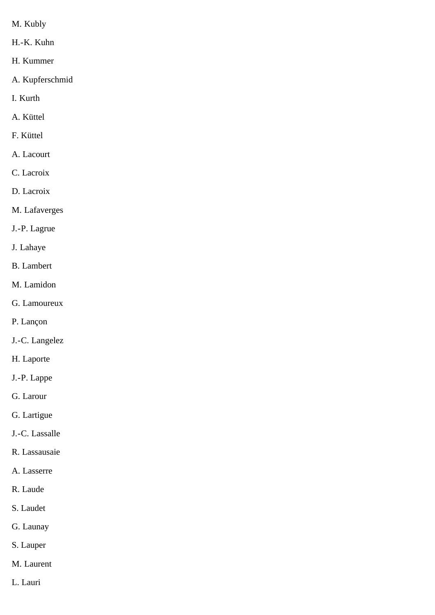- M. Kubly
- H.-K. Kuhn
- H. Kummer
- A. Kupferschmid
- I. Kurth
- A. Küttel
- F. Küttel
- A. Lacourt
- C. Lacroix
- D. Lacroix
- M. Lafaverges
- J.-P. Lagrue
- J. Lahaye
- B. Lambert
- M. Lamidon
- G. Lamoureux
- P. Lançon
- J.-C. Langelez
- H. Laporte
- J.-P. Lappe
- G. Larour
- G. Lartigue
- J.-C. Lassalle
- R. Lassausaie
- A. Lasserre
- R. Laude
- S. Laudet
- G. Launay
- S. Lauper
- M. Laurent
- L. Lauri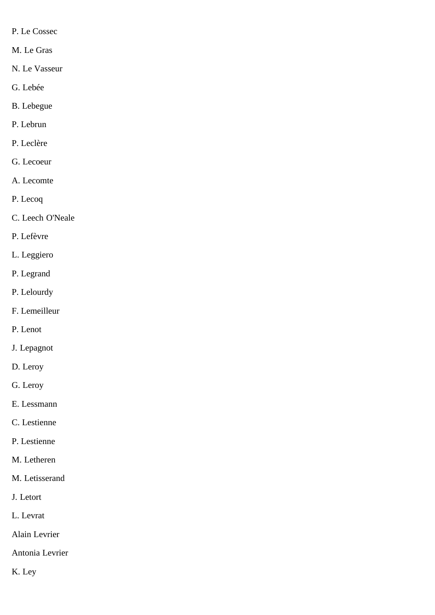- P. Le Cossec
- M. Le Gras
- N. Le Vasseur
- G. Lebée
- B. Lebegue
- P. Lebrun
- P. Leclère
- G. Lecoeur
- A. Lecomte
- P. Lecoq
- C. Leech O'Neale
- P. Lefèvre
- L. Leggiero
- P. Legrand
- P. Lelourdy
- F. Lemeilleur
- P. Lenot
- J. Lepagnot
- D. Leroy
- G. Leroy
- E. Lessmann
- C. Lestienne
- P. Lestienne
- M. Letheren
- M. Letisserand
- J. Letort
- L. Levrat
- Alain Levrier
- Antonia Levrier
- K. Ley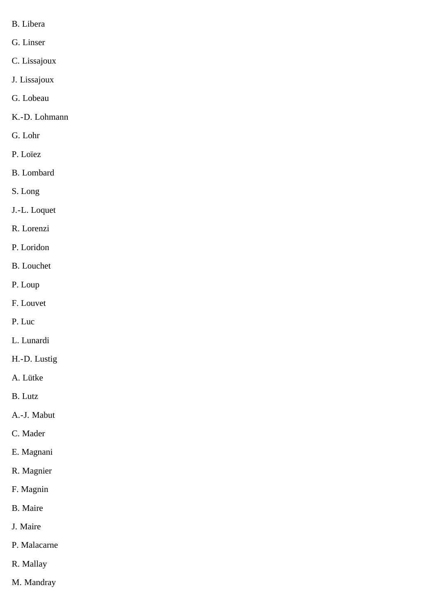- B. Libera
- G. Linser
- C. Lissajoux
- J. Lissajoux
- G. Lobeau
- K.-D. Lohmann
- G. Lohr
- P. Loïez
- B. Lombard
- S. Long
- J.-L. Loquet
- R. Lorenzi
- P. Loridon
- B. Louchet
- P. Loup
- F. Louvet
- P. Luc
- L. Lunardi
- H.-D. Lustig
- A. Lütke
- B. Lutz
- A.-J. Mabut
- C. Mader
- E. Magnani
- R. Magnier
- F. Magnin
- B. Maire
- J. Maire
- P. Malacarne
- R. Mallay
- M. Mandray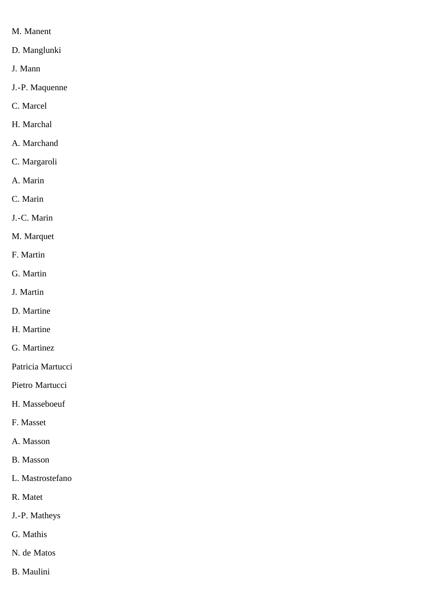- M. Manent
- D. Manglunki
- J. Mann
- J.-P. Maquenne
- C. Marcel
- H. Marchal
- A. Marchand
- C. Margaroli
- A. Marin
- C. Marin
- J.-C. Marin
- M. Marquet
- F. Martin
- G. Martin
- J. Martin
- D. Martine
- H. Martine
- G. Martinez
- Patricia Martucci
- Pietro Martucci
- H. Masseboeuf
- F. Masset
- A. Masson
- B. Masson
- L. Mastrostefano
- R. Matet
- J.-P. Matheys
- G. Mathis
- N. de Matos
- B. Maulini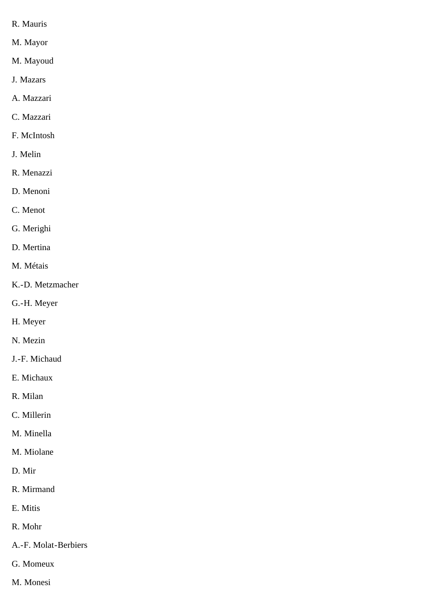- R. Mauris
- M. Mayor
- M. Mayoud
- J. Mazars
- A. Mazzari
- C. Mazzari
- F. McIntosh
- J. Melin
- R. Menazzi
- D. Menoni
- C. Menot
- G. Merighi
- D. Mertina
- M. Métais
- K.-D. Metzmacher
- G.-H. Meyer
- H. Meyer
- N. Mezin
- J.-F. Michaud
- E. Michaux
- R. Milan
- C. Millerin
- M. Minella
- M. Miolane
- D. Mir
- R. Mirmand
- E. Mitis
- R. Mohr
- A.-F. Molat-Berbiers
- G. Momeux
- M. Monesi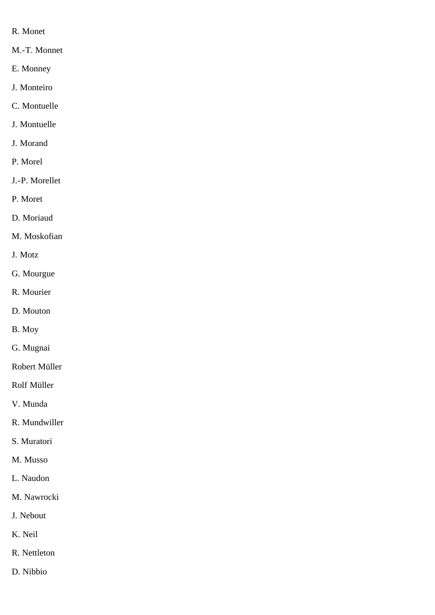- R. Monet
- M.-T. Monnet
- E. Monney
- J. Monteiro
- C. Montuelle
- J. Montuelle
- J. Morand
- P. Morel
- J.-P. Morellet
- P. Moret
- D. Moriaud
- M. Moskofian
- J. Motz
- G. Mourgue
- R. Mourier
- D. Mouton
- B. Moy
- G. Mugnai
- Robert Müller
- Rolf Müller
- V. Munda
- R. Mundwiller
- S. Muratori
- M. Musso
- L. Naudon
- M. Nawrocki
- J. Nebout
- K. Neil
- R. Nettleton
- D. Nibbio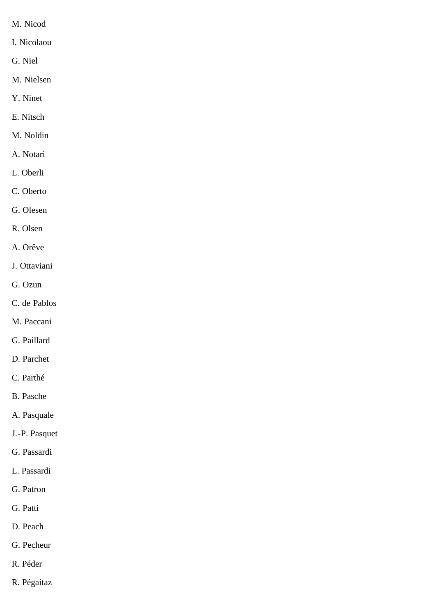- M. Nicod
- I. Nicolaou
- G. Niel
- M. Nielsen
- Y. Ninet
- E. Nitsch
- M. Noldin
- A. Notari
- L. Oberli
- C. Oberto
- G. Olesen
- R. Olsen
- A. Orêve
- J. Ottaviani
- G. Ozun
- C. de Pablos
- M. Paccani
- G. Paillard
- D. Parchet
- C. Parthé
- B. Pasche
- A. Pasquale
- J.-P. Pasquet
- G. Passardi
- L. Passardi
- G. Patron
- G. Patti
- D. Peach
- G. Pecheur
- R. Péder
- R. Pégaitaz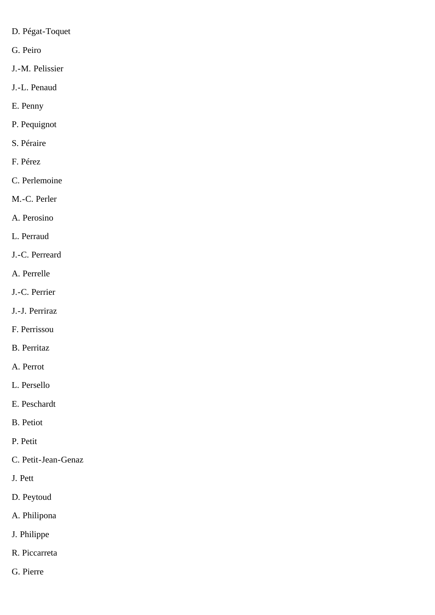- D. Pégat-Toquet
- G. Peiro
- J.-M. Pelissier
- J.-L. Penaud
- E. Penny
- P. Pequignot
- S. Péraire
- F. Pérez
- C. Perlemoine
- M.-C. Perler
- A. Perosino
- L. Perraud
- J.-C. Perreard
- A. Perrelle
- J.-C. Perrier
- J.-J. Perriraz
- F. Perrissou
- B. Perritaz
- A. Perrot
- L. Persello
- E. Peschardt
- B. Petiot
- P. Petit
- C. Petit-Jean-Genaz
- J. Pett
- D. Peytoud
- A. Philipona
- J. Philippe
- R. Piccarreta
- G. Pierre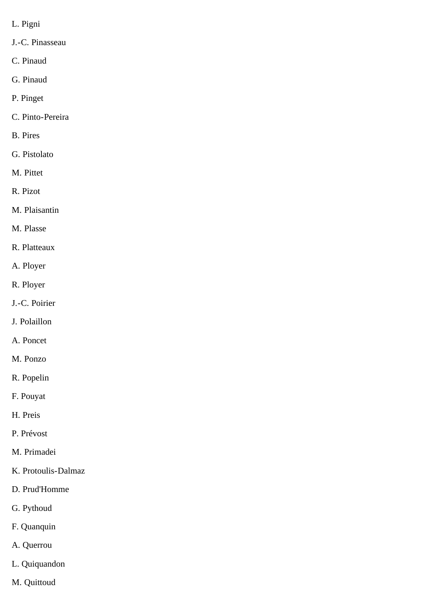- L. Pigni
- J.-C. Pinasseau
- C. Pinaud
- G. Pinaud
- P. Pinget
- C. Pinto-Pereira
- B. Pires
- G. Pistolato
- M. Pittet
- R. Pizot
- M. Plaisantin
- M. Plasse
- R. Platteaux
- A. Ployer
- R. Ployer
- J.-C. Poirier
- J. Polaillon
- A. Poncet
- M. Ponzo
- R. Popelin
- F. Pouyat
- H. Preis
- P. Prévost
- M. Primadei
- K. Protoulis-Dalmaz
- D. Prud'Homme
- G. Pythoud
- F. Quanquin
- A. Querrou
- L. Quiquandon
- M. Quittoud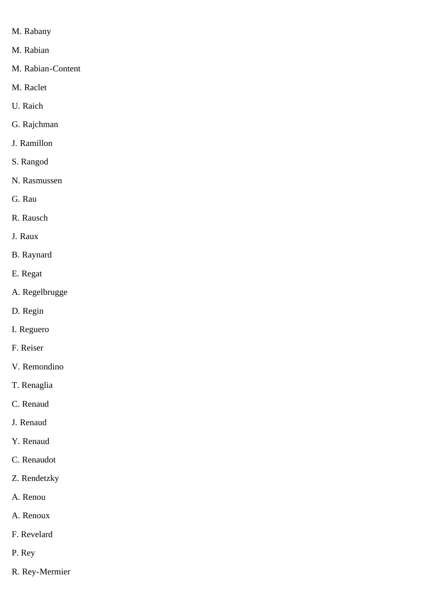- M. Rabany
- M. Rabian
- M. Rabian-Content
- M. Raclet
- U. Raich
- G. Rajchman
- J. Ramillon
- S. Rangod
- N. Rasmussen
- G. Rau
- R. Rausch
- J. Raux
- B. Raynard
- E. Regat
- A. Regelbrugge
- D. Regin
- I. Reguero
- F. Reiser
- V. Remondino
- T. Renaglia
- C. Renaud
- J. Renaud
- Y. Renaud
- C. Renaudot
- Z. Rendetzky
- A. Renou
- A. Renoux
- F. Revelard
- P. Rey
- R. Rey-Mermier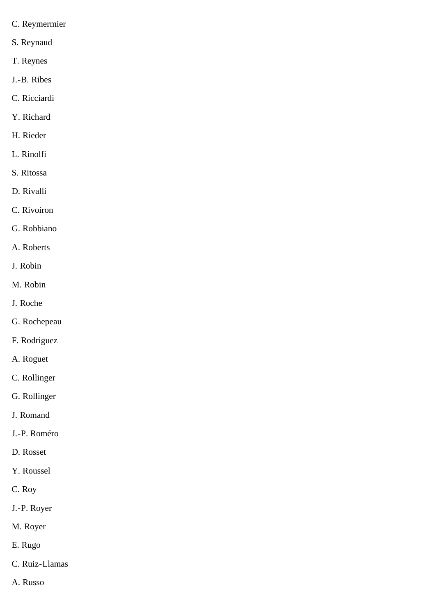- C. Reymermier
- S. Reynaud
- T. Reynes
- J.-B. Ribes
- C. Ricciardi
- Y. Richard
- H. Rieder
- L. Rinolfi
- S. Ritossa
- D. Rivalli
- C. Rivoiron
- G. Robbiano
- A. Roberts
- J. Robin
- M. Robin
- J. Roche
- G. Rochepeau
- F. Rodriguez
- A. Roguet
- C. Rollinger
- G. Rollinger
- J. Romand
- J.-P. Roméro
- D. Rosset
- Y. Roussel
- C. Roy
- J.-P. Royer
- M. Royer
- E. Rugo
- C. Ruiz-Llamas
- A. Russo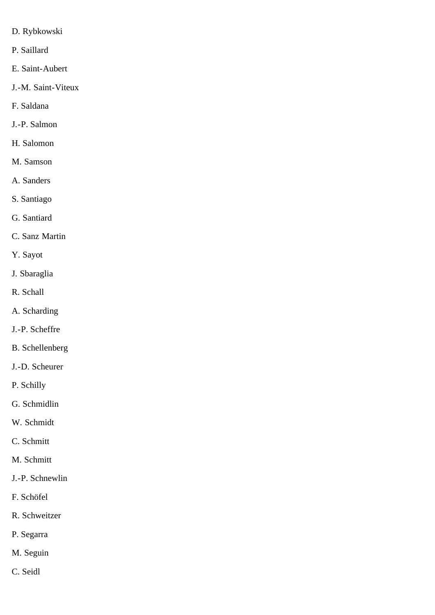- D. Rybkowski
- P. Saillard
- E. Saint-Aubert
- J.-M. Saint-Viteux
- F. Saldana
- J.-P. Salmon
- H. Salomon
- M. Samson
- A. Sanders
- S. Santiago
- G. Santiard
- C. Sanz Martin
- Y. Sayot
- J. Sbaraglia
- R. Schall
- A. Scharding
- J.-P. Scheffre
- B. Schellenberg
- J.-D. Scheurer
- P. Schilly
- G. Schmidlin
- W. Schmidt
- C. Schmitt
- M. Schmitt
- J.-P. Schnewlin
- F. Schöfel
- R. Schweitzer
- P. Segarra
- M. Seguin
- C. Seidl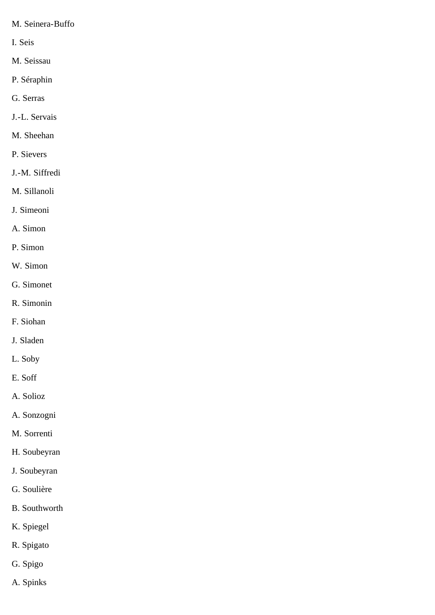- M. Seinera-Buffo
- I. Seis
- M. Seissau
- P. Séraphin
- G. Serras
- J.-L. Servais
- M. Sheehan
- P. Sievers
- J.-M. Siffredi
- M. Sillanoli
- J. Simeoni
- A. Simon
- P. Simon
- W. Simon
- G. Simonet
- R. Simonin
- F. Siohan
- J. Sladen
- L. Soby
- E. Soff
- A. Solioz
- A. Sonzogni
- M. Sorrenti
- H. Soubeyran
- J. Soubeyran
- G. Soulière
- B. Southworth
- K. Spiegel
- R. Spigato
- G. Spigo
- A. Spinks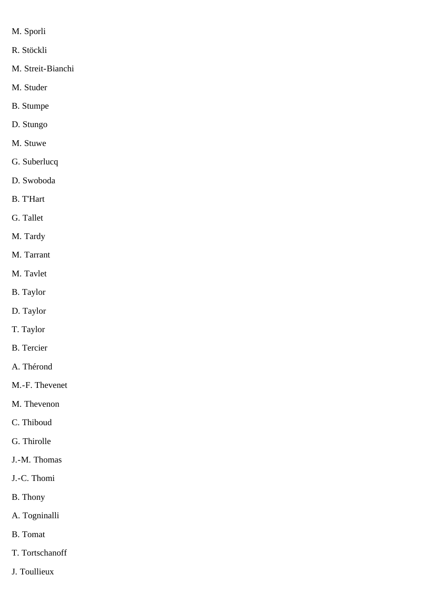- M. Sporli
- R. Stöckli
- M. Streit-Bianchi
- M. Studer
- B. Stumpe
- D. Stungo
- M. Stuwe
- G. Suberlucq
- D. Swoboda
- B. T'Hart
- G. Tallet
- M. Tardy
- M. Tarrant
- M. Tavlet
- B. Taylor
- D. Taylor
- T. Taylor
- B. Tercier
- A. Thérond
- M.-F. Thevenet
- M. Thevenon
- C. Thiboud
- G. Thirolle
- J.-M. Thomas
- J.-C. Thomi
- B. Thony
- A. Togninalli
- B. Tomat
- T. Tortschanoff
- J. Toullieux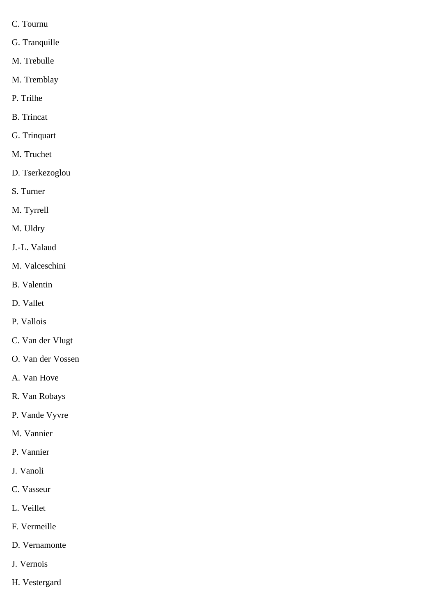- C. Tournu
- G. Tranquille
- M. Trebulle
- M. Tremblay
- P. Trilhe
- B. Trincat
- G. Trinquart
- M. Truchet
- D. Tserkezoglou
- S. Turner
- M. Tyrrell
- M. Uldry
- J.-L. Valaud
- M. Valceschini
- B. Valentin
- D. Vallet
- P. Vallois
- C. Van der Vlugt
- O. Van der Vossen
- A. Van Hove
- R. Van Robays
- P. Vande Vyvre
- M. Vannier
- P. Vannier
- J. Vanoli
- C. Vasseur
- L. Veillet
- F. Vermeille
- D. Vernamonte
- J. Vernois
- H. Vestergard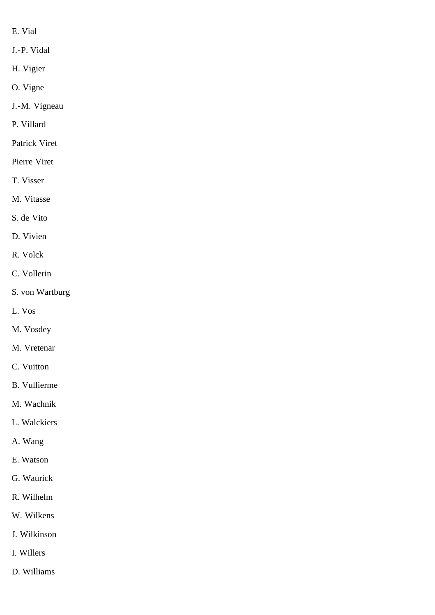- E. Vial
- J.-P. Vidal
- H. Vigier
- O. Vigne
- J.-M. Vigneau
- P. Villard
- Patrick Viret
- Pierre Viret
- T. Visser
- M. Vitasse
- S. de Vito
- D. Vivien
- R. Volck
- C. Vollerin
- S. von Wartburg
- L. Vos
- M. Vosdey
- M. Vretenar
- C. Vuitton
- B. Vullierme
- M. Wachnik
- L. Walckiers
- A. Wang
- E. Watson
- G. Waurick
- R. Wilhelm
- W. Wilkens
- J. Wilkinson
- I. Willers
- D. Williams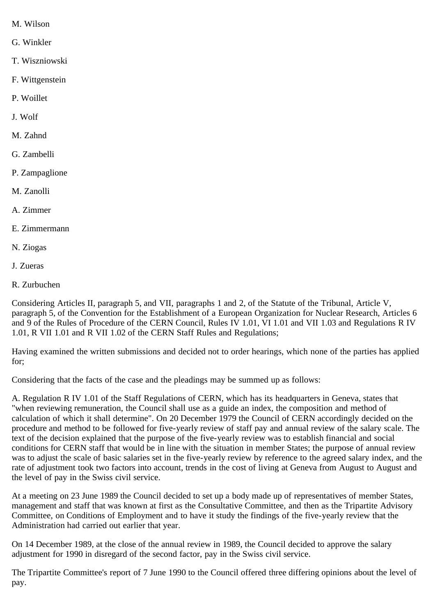- M. Wilson
- G. Winkler
- T. Wiszniowski
- F. Wittgenstein
- P. Woillet
- J. Wolf
- M. Zahnd
- G. Zambelli
- P. Zampaglione
- M. Zanolli
- A. Zimmer
- E. Zimmermann
- N. Ziogas
- J. Zueras
- R. Zurbuchen

Considering Articles II, paragraph 5, and VII, paragraphs 1 and 2, of the Statute of the Tribunal, Article V, paragraph 5, of the Convention for the Establishment of a European Organization for Nuclear Research, Articles 6 and 9 of the Rules of Procedure of the CERN Council, Rules IV 1.01, VI 1.01 and VII 1.03 and Regulations R IV 1.01, R VII 1.01 and R VII 1.02 of the CERN Staff Rules and Regulations;

Having examined the written submissions and decided not to order hearings, which none of the parties has applied for;

Considering that the facts of the case and the pleadings may be summed up as follows:

A. Regulation R IV 1.01 of the Staff Regulations of CERN, which has its headquarters in Geneva, states that "when reviewing remuneration, the Council shall use as a guide an index, the composition and method of calculation of which it shall determine". On 20 December 1979 the Council of CERN accordingly decided on the procedure and method to be followed for five-yearly review of staff pay and annual review of the salary scale. The text of the decision explained that the purpose of the five-yearly review was to establish financial and social conditions for CERN staff that would be in line with the situation in member States; the purpose of annual review was to adjust the scale of basic salaries set in the five-yearly review by reference to the agreed salary index, and the rate of adjustment took two factors into account, trends in the cost of living at Geneva from August to August and the level of pay in the Swiss civil service.

At a meeting on 23 June 1989 the Council decided to set up a body made up of representatives of member States, management and staff that was known at first as the Consultative Committee, and then as the Tripartite Advisory Committee, on Conditions of Employment and to have it study the findings of the five-yearly review that the Administration had carried out earlier that year.

On 14 December 1989, at the close of the annual review in 1989, the Council decided to approve the salary adjustment for 1990 in disregard of the second factor, pay in the Swiss civil service.

The Tripartite Committee's report of 7 June 1990 to the Council offered three differing opinions about the level of pay.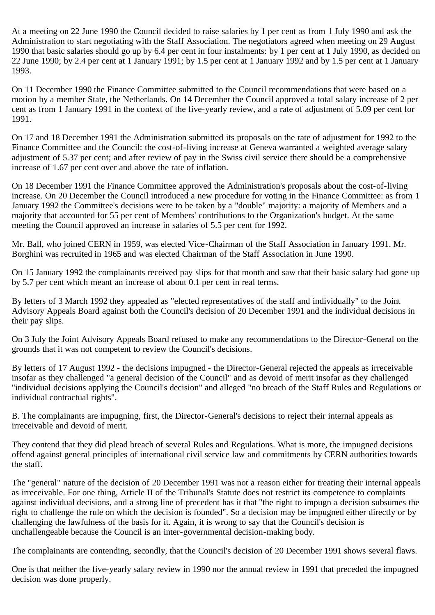At a meeting on 22 June 1990 the Council decided to raise salaries by 1 per cent as from 1 July 1990 and ask the Administration to start negotiating with the Staff Association. The negotiators agreed when meeting on 29 August 1990 that basic salaries should go up by 6.4 per cent in four instalments: by 1 per cent at 1 July 1990, as decided on 22 June 1990; by 2.4 per cent at 1 January 1991; by 1.5 per cent at 1 January 1992 and by 1.5 per cent at 1 January 1993.

On 11 December 1990 the Finance Committee submitted to the Council recommendations that were based on a motion by a member State, the Netherlands. On 14 December the Council approved a total salary increase of 2 per cent as from 1 January 1991 in the context of the five-yearly review, and a rate of adjustment of 5.09 per cent for 1991.

On 17 and 18 December 1991 the Administration submitted its proposals on the rate of adjustment for 1992 to the Finance Committee and the Council: the cost-of-living increase at Geneva warranted a weighted average salary adjustment of 5.37 per cent; and after review of pay in the Swiss civil service there should be a comprehensive increase of 1.67 per cent over and above the rate of inflation.

On 18 December 1991 the Finance Committee approved the Administration's proposals about the cost-of-living increase. On 20 December the Council introduced a new procedure for voting in the Finance Committee: as from 1 January 1992 the Committee's decisions were to be taken by a "double" majority: a majority of Members and a majority that accounted for 55 per cent of Members' contributions to the Organization's budget. At the same meeting the Council approved an increase in salaries of 5.5 per cent for 1992.

Mr. Ball, who joined CERN in 1959, was elected Vice-Chairman of the Staff Association in January 1991. Mr. Borghini was recruited in 1965 and was elected Chairman of the Staff Association in June 1990.

On 15 January 1992 the complainants received pay slips for that month and saw that their basic salary had gone up by 5.7 per cent which meant an increase of about 0.1 per cent in real terms.

By letters of 3 March 1992 they appealed as "elected representatives of the staff and individually" to the Joint Advisory Appeals Board against both the Council's decision of 20 December 1991 and the individual decisions in their pay slips.

On 3 July the Joint Advisory Appeals Board refused to make any recommendations to the Director-General on the grounds that it was not competent to review the Council's decisions.

By letters of 17 August 1992 - the decisions impugned - the Director-General rejected the appeals as irreceivable insofar as they challenged "a general decision of the Council" and as devoid of merit insofar as they challenged "individual decisions applying the Council's decision" and alleged "no breach of the Staff Rules and Regulations or individual contractual rights".

B. The complainants are impugning, first, the Director-General's decisions to reject their internal appeals as irreceivable and devoid of merit.

They contend that they did plead breach of several Rules and Regulations. What is more, the impugned decisions offend against general principles of international civil service law and commitments by CERN authorities towards the staff.

The "general" nature of the decision of 20 December 1991 was not a reason either for treating their internal appeals as irreceivable. For one thing, Article II of the Tribunal's Statute does not restrict its competence to complaints against individual decisions, and a strong line of precedent has it that "the right to impugn a decision subsumes the right to challenge the rule on which the decision is founded". So a decision may be impugned either directly or by challenging the lawfulness of the basis for it. Again, it is wrong to say that the Council's decision is unchallengeable because the Council is an inter-governmental decision-making body.

The complainants are contending, secondly, that the Council's decision of 20 December 1991 shows several flaws.

One is that neither the five-yearly salary review in 1990 nor the annual review in 1991 that preceded the impugned decision was done properly.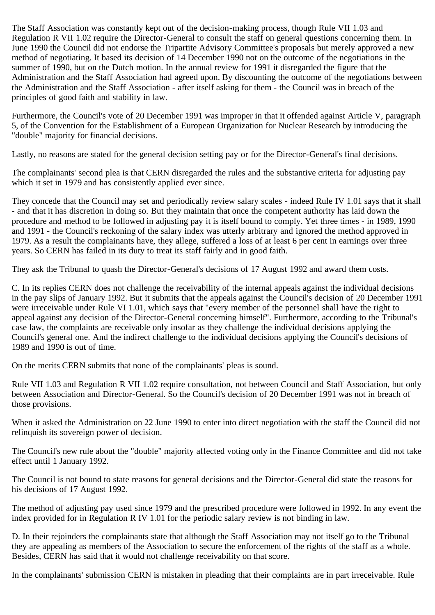The Staff Association was constantly kept out of the decision-making process, though Rule VII 1.03 and Regulation R VII 1.02 require the Director-General to consult the staff on general questions concerning them. In June 1990 the Council did not endorse the Tripartite Advisory Committee's proposals but merely approved a new method of negotiating. It based its decision of 14 December 1990 not on the outcome of the negotiations in the summer of 1990, but on the Dutch motion. In the annual review for 1991 it disregarded the figure that the Administration and the Staff Association had agreed upon. By discounting the outcome of the negotiations between the Administration and the Staff Association - after itself asking for them - the Council was in breach of the principles of good faith and stability in law.

Furthermore, the Council's vote of 20 December 1991 was improper in that it offended against Article V, paragraph 5, of the Convention for the Establishment of a European Organization for Nuclear Research by introducing the "double" majority for financial decisions.

Lastly, no reasons are stated for the general decision setting pay or for the Director-General's final decisions.

The complainants' second plea is that CERN disregarded the rules and the substantive criteria for adjusting pay which it set in 1979 and has consistently applied ever since.

They concede that the Council may set and periodically review salary scales - indeed Rule IV 1.01 says that it shall - and that it has discretion in doing so. But they maintain that once the competent authority has laid down the procedure and method to be followed in adjusting pay it is itself bound to comply. Yet three times - in 1989, 1990 and 1991 - the Council's reckoning of the salary index was utterly arbitrary and ignored the method approved in 1979. As a result the complainants have, they allege, suffered a loss of at least 6 per cent in earnings over three years. So CERN has failed in its duty to treat its staff fairly and in good faith.

They ask the Tribunal to quash the Director-General's decisions of 17 August 1992 and award them costs.

C. In its replies CERN does not challenge the receivability of the internal appeals against the individual decisions in the pay slips of January 1992. But it submits that the appeals against the Council's decision of 20 December 1991 were irreceivable under Rule VI 1.01, which says that "every member of the personnel shall have the right to appeal against any decision of the Director-General concerning himself". Furthermore, according to the Tribunal's case law, the complaints are receivable only insofar as they challenge the individual decisions applying the Council's general one. And the indirect challenge to the individual decisions applying the Council's decisions of 1989 and 1990 is out of time.

On the merits CERN submits that none of the complainants' pleas is sound.

Rule VII 1.03 and Regulation R VII 1.02 require consultation, not between Council and Staff Association, but only between Association and Director-General. So the Council's decision of 20 December 1991 was not in breach of those provisions.

When it asked the Administration on 22 June 1990 to enter into direct negotiation with the staff the Council did not relinquish its sovereign power of decision.

The Council's new rule about the "double" majority affected voting only in the Finance Committee and did not take effect until 1 January 1992.

The Council is not bound to state reasons for general decisions and the Director-General did state the reasons for his decisions of 17 August 1992.

The method of adjusting pay used since 1979 and the prescribed procedure were followed in 1992. In any event the index provided for in Regulation R IV 1.01 for the periodic salary review is not binding in law.

D. In their rejoinders the complainants state that although the Staff Association may not itself go to the Tribunal they are appealing as members of the Association to secure the enforcement of the rights of the staff as a whole. Besides, CERN has said that it would not challenge receivability on that score.

In the complainants' submission CERN is mistaken in pleading that their complaints are in part irreceivable. Rule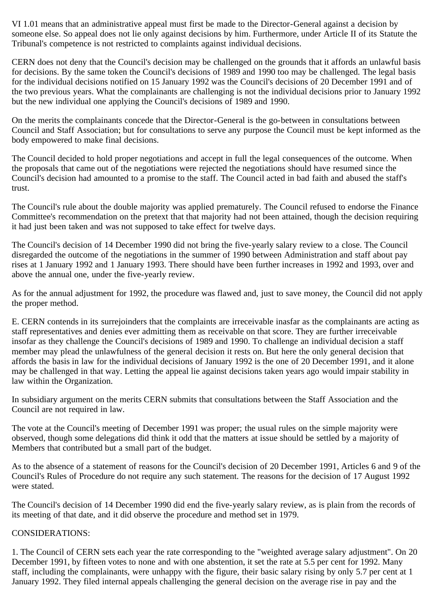VI 1.01 means that an administrative appeal must first be made to the Director-General against a decision by someone else. So appeal does not lie only against decisions by him. Furthermore, under Article II of its Statute the Tribunal's competence is not restricted to complaints against individual decisions.

CERN does not deny that the Council's decision may be challenged on the grounds that it affords an unlawful basis for decisions. By the same token the Council's decisions of 1989 and 1990 too may be challenged. The legal basis for the individual decisions notified on 15 January 1992 was the Council's decisions of 20 December 1991 and of the two previous years. What the complainants are challenging is not the individual decisions prior to January 1992 but the new individual one applying the Council's decisions of 1989 and 1990.

On the merits the complainants concede that the Director-General is the go-between in consultations between Council and Staff Association; but for consultations to serve any purpose the Council must be kept informed as the body empowered to make final decisions.

The Council decided to hold proper negotiations and accept in full the legal consequences of the outcome. When the proposals that came out of the negotiations were rejected the negotiations should have resumed since the Council's decision had amounted to a promise to the staff. The Council acted in bad faith and abused the staff's trust.

The Council's rule about the double majority was applied prematurely. The Council refused to endorse the Finance Committee's recommendation on the pretext that that majority had not been attained, though the decision requiring it had just been taken and was not supposed to take effect for twelve days.

The Council's decision of 14 December 1990 did not bring the five-yearly salary review to a close. The Council disregarded the outcome of the negotiations in the summer of 1990 between Administration and staff about pay rises at 1 January 1992 and 1 January 1993. There should have been further increases in 1992 and 1993, over and above the annual one, under the five-yearly review.

As for the annual adjustment for 1992, the procedure was flawed and, just to save money, the Council did not apply the proper method.

E. CERN contends in its surrejoinders that the complaints are irreceivable inasfar as the complainants are acting as staff representatives and denies ever admitting them as receivable on that score. They are further irreceivable insofar as they challenge the Council's decisions of 1989 and 1990. To challenge an individual decision a staff member may plead the unlawfulness of the general decision it rests on. But here the only general decision that affords the basis in law for the individual decisions of January 1992 is the one of 20 December 1991, and it alone may be challenged in that way. Letting the appeal lie against decisions taken years ago would impair stability in law within the Organization.

In subsidiary argument on the merits CERN submits that consultations between the Staff Association and the Council are not required in law.

The vote at the Council's meeting of December 1991 was proper; the usual rules on the simple majority were observed, though some delegations did think it odd that the matters at issue should be settled by a majority of Members that contributed but a small part of the budget.

As to the absence of a statement of reasons for the Council's decision of 20 December 1991, Articles 6 and 9 of the Council's Rules of Procedure do not require any such statement. The reasons for the decision of 17 August 1992 were stated.

The Council's decision of 14 December 1990 did end the five-yearly salary review, as is plain from the records of its meeting of that date, and it did observe the procedure and method set in 1979.

## CONSIDERATIONS:

1. The Council of CERN sets each year the rate corresponding to the "weighted average salary adjustment". On 20 December 1991, by fifteen votes to none and with one abstention, it set the rate at 5.5 per cent for 1992. Many staff, including the complainants, were unhappy with the figure, their basic salary rising by only 5.7 per cent at 1 January 1992. They filed internal appeals challenging the general decision on the average rise in pay and the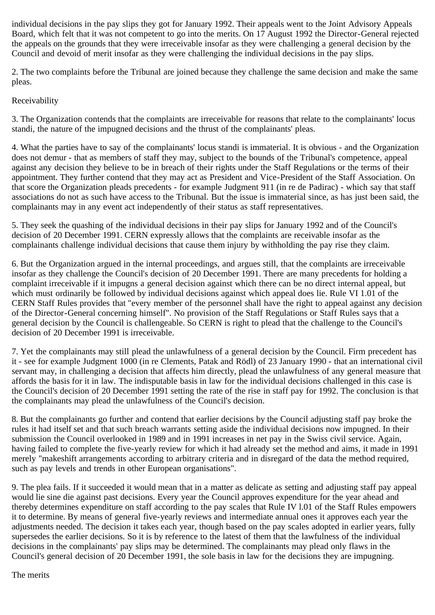individual decisions in the pay slips they got for January 1992. Their appeals went to the Joint Advisory Appeals Board, which felt that it was not competent to go into the merits. On 17 August 1992 the Director-General rejected the appeals on the grounds that they were irreceivable insofar as they were challenging a general decision by the Council and devoid of merit insofar as they were challenging the individual decisions in the pay slips.

2. The two complaints before the Tribunal are joined because they challenge the same decision and make the same pleas.

## Receivability

3. The Organization contends that the complaints are irreceivable for reasons that relate to the complainants' locus standi, the nature of the impugned decisions and the thrust of the complainants' pleas.

4. What the parties have to say of the complainants' locus standi is immaterial. It is obvious - and the Organization does not demur - that as members of staff they may, subject to the bounds of the Tribunal's competence, appeal against any decision they believe to be in breach of their rights under the Staff Regulations or the terms of their appointment. They further contend that they may act as President and Vice-President of the Staff Association. On that score the Organization pleads precedents - for example Judgment 911 (in re de Padirac) - which say that staff associations do not as such have access to the Tribunal. But the issue is immaterial since, as has just been said, the complainants may in any event act independently of their status as staff representatives.

5. They seek the quashing of the individual decisions in their pay slips for January 1992 and of the Council's decision of 20 December 1991. CERN expressly allows that the complaints are receivable insofar as the complainants challenge individual decisions that cause them injury by withholding the pay rise they claim.

6. But the Organization argued in the internal proceedings, and argues still, that the complaints are irreceivable insofar as they challenge the Council's decision of 20 December 1991. There are many precedents for holding a complaint irreceivable if it impugns a general decision against which there can be no direct internal appeal, but which must ordinarily be followed by individual decisions against which appeal does lie. Rule VI 1.01 of the CERN Staff Rules provides that "every member of the personnel shall have the right to appeal against any decision of the Director-General concerning himself". No provision of the Staff Regulations or Staff Rules says that a general decision by the Council is challengeable. So CERN is right to plead that the challenge to the Council's decision of 20 December 1991 is irreceivable.

7. Yet the complainants may still plead the unlawfulness of a general decision by the Council. Firm precedent has it - see for example Judgment 1000 (in re Clements, Patak and Rödl) of 23 January 1990 - that an international civil servant may, in challenging a decision that affects him directly, plead the unlawfulness of any general measure that affords the basis for it in law. The indisputable basis in law for the individual decisions challenged in this case is the Council's decision of 20 December 1991 setting the rate of the rise in staff pay for 1992. The conclusion is that the complainants may plead the unlawfulness of the Council's decision.

8. But the complainants go further and contend that earlier decisions by the Council adjusting staff pay broke the rules it had itself set and that such breach warrants setting aside the individual decisions now impugned. In their submission the Council overlooked in 1989 and in 1991 increases in net pay in the Swiss civil service. Again, having failed to complete the five-yearly review for which it had already set the method and aims, it made in 1991 merely "makeshift arrangements according to arbitrary criteria and in disregard of the data the method required, such as pay levels and trends in other European organisations".

9. The plea fails. If it succeeded it would mean that in a matter as delicate as setting and adjusting staff pay appeal would lie sine die against past decisions. Every year the Council approves expenditure for the year ahead and thereby determines expenditure on staff according to the pay scales that Rule IV l.01 of the Staff Rules empowers it to determine. By means of general five-yearly reviews and intermediate annual ones it approves each year the adjustments needed. The decision it takes each year, though based on the pay scales adopted in earlier years, fully supersedes the earlier decisions. So it is by reference to the latest of them that the lawfulness of the individual decisions in the complainants' pay slips may be determined. The complainants may plead only flaws in the Council's general decision of 20 December 1991, the sole basis in law for the decisions they are impugning.

## The merits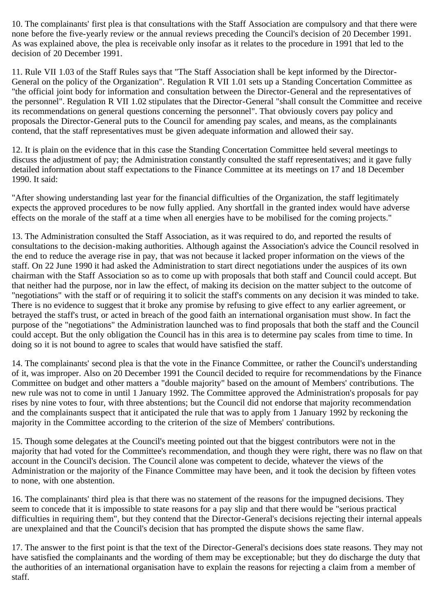10. The complainants' first plea is that consultations with the Staff Association are compulsory and that there were none before the five-yearly review or the annual reviews preceding the Council's decision of 20 December 1991. As was explained above, the plea is receivable only insofar as it relates to the procedure in 1991 that led to the decision of 20 December 1991.

11. Rule VII 1.03 of the Staff Rules says that "The Staff Association shall be kept informed by the Director-General on the policy of the Organization". Regulation R VII 1.01 sets up a Standing Concertation Committee as "the official joint body for information and consultation between the Director-General and the representatives of the personnel". Regulation R VII 1.02 stipulates that the Director-General "shall consult the Committee and receive its recommendations on general questions concerning the personnel". That obviously covers pay policy and proposals the Director-General puts to the Council for amending pay scales, and means, as the complainants contend, that the staff representatives must be given adequate information and allowed their say.

12. It is plain on the evidence that in this case the Standing Concertation Committee held several meetings to discuss the adjustment of pay; the Administration constantly consulted the staff representatives; and it gave fully detailed information about staff expectations to the Finance Committee at its meetings on 17 and 18 December 1990. It said:

"After showing understanding last year for the financial difficulties of the Organization, the staff legitimately expects the approved procedures to be now fully applied. Any shortfall in the granted index would have adverse effects on the morale of the staff at a time when all energies have to be mobilised for the coming projects."

13. The Administration consulted the Staff Association, as it was required to do, and reported the results of consultations to the decision-making authorities. Although against the Association's advice the Council resolved in the end to reduce the average rise in pay, that was not because it lacked proper information on the views of the staff. On 22 June 1990 it had asked the Administration to start direct negotiations under the auspices of its own chairman with the Staff Association so as to come up with proposals that both staff and Council could accept. But that neither had the purpose, nor in law the effect, of making its decision on the matter subject to the outcome of "negotiations" with the staff or of requiring it to solicit the staff's comments on any decision it was minded to take. There is no evidence to suggest that it broke any promise by refusing to give effect to any earlier agreement, or betrayed the staff's trust, or acted in breach of the good faith an international organisation must show. In fact the purpose of the "negotiations" the Administration launched was to find proposals that both the staff and the Council could accept. But the only obligation the Council has in this area is to determine pay scales from time to time. In doing so it is not bound to agree to scales that would have satisfied the staff.

14. The complainants' second plea is that the vote in the Finance Committee, or rather the Council's understanding of it, was improper. Also on 20 December 1991 the Council decided to require for recommendations by the Finance Committee on budget and other matters a "double majority" based on the amount of Members' contributions. The new rule was not to come in until 1 January 1992. The Committee approved the Administration's proposals for pay rises by nine votes to four, with three abstentions; but the Council did not endorse that majority recommendation and the complainants suspect that it anticipated the rule that was to apply from 1 January 1992 by reckoning the majority in the Committee according to the criterion of the size of Members' contributions.

15. Though some delegates at the Council's meeting pointed out that the biggest contributors were not in the majority that had voted for the Committee's recommendation, and though they were right, there was no flaw on that account in the Council's decision. The Council alone was competent to decide, whatever the views of the Administration or the majority of the Finance Committee may have been, and it took the decision by fifteen votes to none, with one abstention.

16. The complainants' third plea is that there was no statement of the reasons for the impugned decisions. They seem to concede that it is impossible to state reasons for a pay slip and that there would be "serious practical difficulties in requiring them", but they contend that the Director-General's decisions rejecting their internal appeals are unexplained and that the Council's decision that has prompted the dispute shows the same flaw.

17. The answer to the first point is that the text of the Director-General's decisions does state reasons. They may not have satisfied the complainants and the wording of them may be exceptionable; but they do discharge the duty that the authorities of an international organisation have to explain the reasons for rejecting a claim from a member of staff.